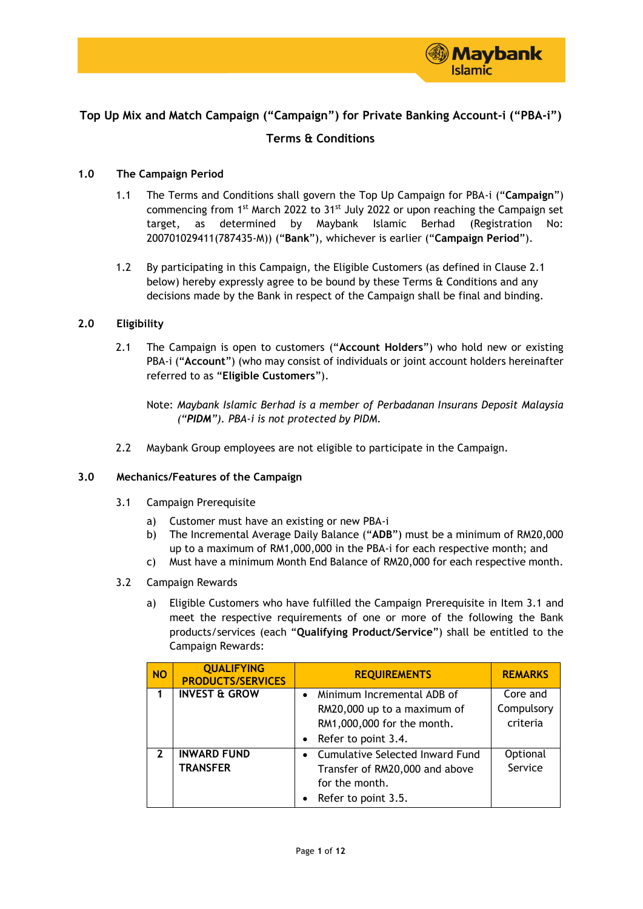

# **Top Up Mix and Match Campaign ("Campaign") for Private Banking Account-i ("PBA-i")**

# **Terms & Conditions**

## **1.0 The Campaign Period**

- 1.1 The Terms and Conditions shall govern the Top Up Campaign for PBA-i ("**Campaign**") commencing from 1<sup>st</sup> March 2022 to 31<sup>st</sup> July 2022 or upon reaching the Campaign set target, as determined by Maybank Islamic Berhad (Registration No: 200701029411(787435-M)) ("**Bank**"), whichever is earlier ("**Campaign Period**").
- 1.2 By participating in this Campaign, the Eligible Customers (as defined in Clause 2.1 below) hereby expressly agree to be bound by these Terms & Conditions and any decisions made by the Bank in respect of the Campaign shall be final and binding.

## **2.0 Eligibility**

2.1 The Campaign is open to customers ("**Account Holders**") who hold new or existing PBA-i ("**Account**") (who may consist of individuals or joint account holders hereinafter referred to as "**Eligible Customers**").

Note: *Maybank Islamic Berhad is a member of Perbadanan Insurans Deposit Malaysia ("PIDM"). PBA-i is not protected by PIDM.*

2.2 Maybank Group employees are not eligible to participate in the Campaign.

### **3.0 Mechanics/Features of the Campaign**

- 3.1 Campaign Prerequisite
	- a) Customer must have an existing or new PBA-i
	- b) The Incremental Average Daily Balance ("**ADB**") must be a minimum of RM20,000 up to a maximum of RM1,000,000 in the PBA-i for each respective month; and
	- c) Must have a minimum Month End Balance of RM20,000 for each respective month.
- 3.2 Campaign Rewards
	- a) Eligible Customers who have fulfilled the Campaign Prerequisite in Item 3.1 and meet the respective requirements of one or more of the following the Bank products/services (each "**Qualifying Product/Service**") shall be entitled to the Campaign Rewards:

| <b>NO</b>    | <b>QUALIFYING</b><br><b>PRODUCTS/SERVICES</b> | <b>REQUIREMENTS</b>                                                                                                                      | <b>REMARKS</b>                     |
|--------------|-----------------------------------------------|------------------------------------------------------------------------------------------------------------------------------------------|------------------------------------|
|              | <b>INVEST &amp; GROW</b>                      | Minimum Incremental ADB of<br>$\bullet$<br>RM20,000 up to a maximum of<br>RM1,000,000 for the month.<br>Refer to point 3.4.<br>$\bullet$ | Core and<br>Compulsory<br>criteria |
| $\mathbf{z}$ | <b>INWARD FUND</b><br><b>TRANSFER</b>         | Cumulative Selected Inward Fund<br>$\bullet$<br>Transfer of RM20,000 and above<br>for the month.<br>Refer to point 3.5.<br>$\bullet$     | Optional<br>Service                |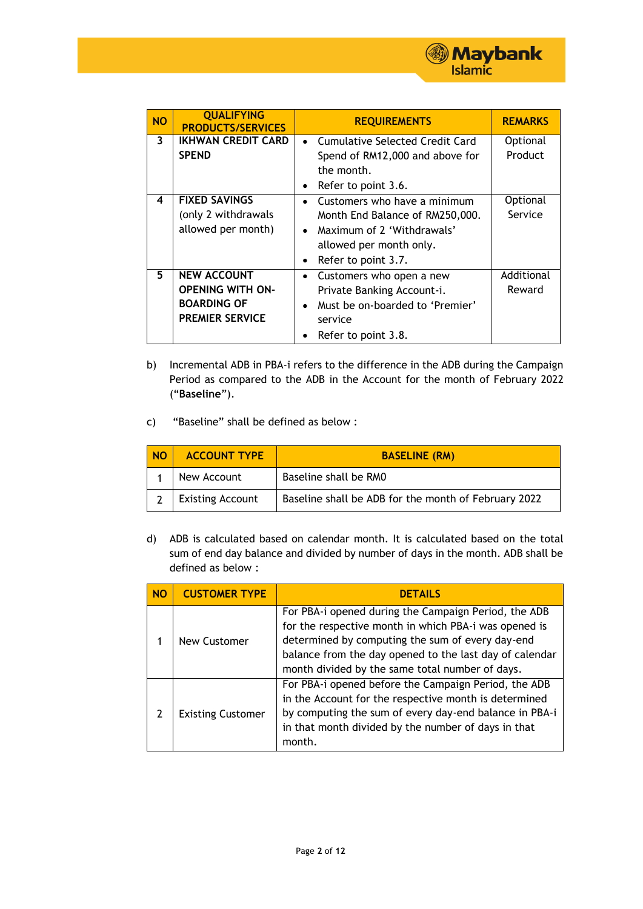

| <b>NO</b>               | <b>QUALIFYING</b><br><b>PRODUCTS/SERVICES</b>                                                 | <b>REQUIREMENTS</b>                                                                                                                                                                    | <b>REMARKS</b>       |
|-------------------------|-----------------------------------------------------------------------------------------------|----------------------------------------------------------------------------------------------------------------------------------------------------------------------------------------|----------------------|
| $\overline{\mathbf{3}}$ | <b>IKHWAN CREDIT CARD</b><br><b>SPEND</b>                                                     | Cumulative Selected Credit Card<br>$\bullet$<br>Spend of RM12,000 and above for                                                                                                        | Optional<br>Product  |
|                         |                                                                                               | the month.<br>Refer to point 3.6.<br>$\bullet$                                                                                                                                         |                      |
| $\overline{\mathbf{4}}$ | <b>FIXED SAVINGS</b><br>(only 2 withdrawals<br>allowed per month)                             | Customers who have a minimum<br>$\bullet$<br>Month End Balance of RM250,000.<br>Maximum of 2 'Withdrawals'<br>$\bullet$<br>allowed per month only.<br>Refer to point 3.7.<br>$\bullet$ | Optional<br>Service  |
| 5.                      | <b>NEW ACCOUNT</b><br><b>OPENING WITH ON-</b><br><b>BOARDING OF</b><br><b>PREMIER SERVICE</b> | Customers who open a new<br>$\bullet$<br>Private Banking Account-i.<br>Must be on-boarded to 'Premier'<br>$\bullet$<br>service<br>Refer to point 3.8.                                  | Additional<br>Reward |

- b) Incremental ADB in PBA-i refers to the difference in the ADB during the Campaign Period as compared to the ADB in the Account for the month of February 2022 ("**Baseline**").
- c) "Baseline" shall be defined as below :

| <b>NO</b> | <b>ACCOUNT TYPE</b>     | <b>BASELINE (RM)</b>                                 |
|-----------|-------------------------|------------------------------------------------------|
|           | New Account             | Baseline shall be RM0                                |
|           | <b>Existing Account</b> | Baseline shall be ADB for the month of February 2022 |

d) ADB is calculated based on calendar month. It is calculated based on the total sum of end day balance and divided by number of days in the month. ADB shall be defined as below :

| <b>NO</b> | <b>CUSTOMER TYPE</b>     | <b>DETAILS</b>                                                                                                                                                                                                                                                                  |
|-----------|--------------------------|---------------------------------------------------------------------------------------------------------------------------------------------------------------------------------------------------------------------------------------------------------------------------------|
|           | New Customer             | For PBA-i opened during the Campaign Period, the ADB<br>for the respective month in which PBA-i was opened is<br>determined by computing the sum of every day-end<br>balance from the day opened to the last day of calendar<br>month divided by the same total number of days. |
|           | <b>Existing Customer</b> | For PBA-i opened before the Campaign Period, the ADB<br>in the Account for the respective month is determined<br>by computing the sum of every day-end balance in PBA-i<br>in that month divided by the number of days in that<br>month.                                        |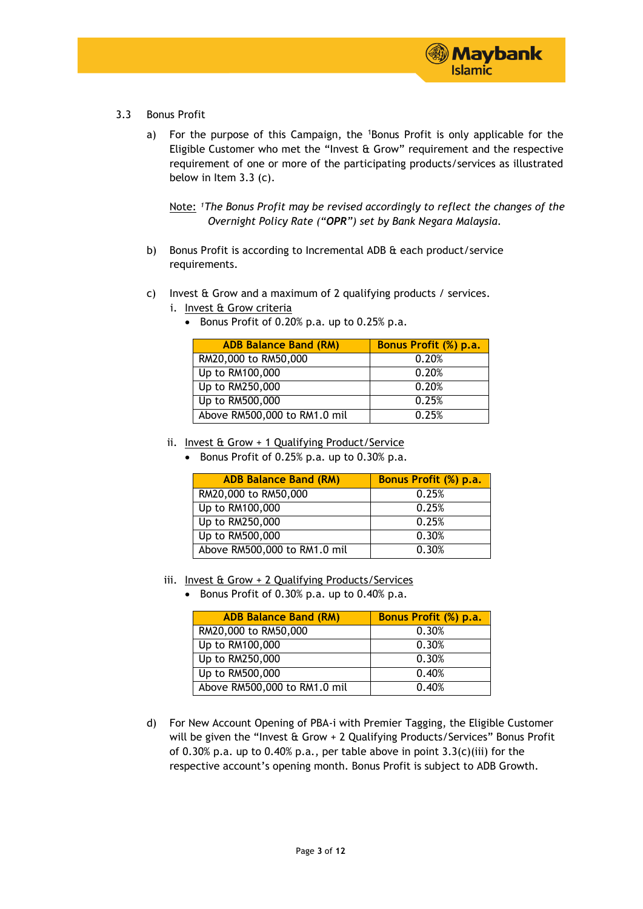

- 3.3 Bonus Profit
	- a) For the purpose of this Campaign, the <sup>1</sup>Bonus Profit is only applicable for the Eligible Customer who met the "Invest & Grow" requirement and the respective requirement of one or more of the participating products/services as illustrated below in Item 3.3 (c).

Note: <sup>1</sup>The Bonus Profit may be revised accordingly to reflect the changes of the *Overnight Policy Rate ("OPR") set by Bank Negara Malaysia.*

- b) Bonus Profit is according to Incremental ADB & each product/service requirements.
- c) Invest & Grow and a maximum of 2 qualifying products / services.
	- i. Invest & Grow criteria
		- Bonus Profit of 0.20% p.a. up to 0.25% p.a.

| <b>ADB Balance Band (RM)</b> | <b>Bonus Profit (%) p.a.</b> |
|------------------------------|------------------------------|
| RM20,000 to RM50,000         | 0.20%                        |
| Up to RM100,000              | 0.20%                        |
| $\overline{Up}$ to RM250,000 | 0.20%                        |
| Up to RM500,000              | 0.25%                        |
| Above RM500,000 to RM1.0 mil | 0.25%                        |

- ii. Invest & Grow + 1 Qualifying Product/Service
	- Bonus Profit of  $0.25\%$  p.a. up to  $0.30\%$  p.a.

| <b>ADB Balance Band (RM)</b> | <b>Bonus Profit (%) p.a.</b> |
|------------------------------|------------------------------|
| RM20,000 to RM50,000         | 0.25%                        |
| Up to RM100,000              | 0.25%                        |
| Up to RM250,000              | 0.25%                        |
| Up to RM500,000              | 0.30%                        |
| Above RM500,000 to RM1.0 mil | 0.30%                        |

- iii. Invest & Grow + 2 Qualifying Products/Services
	- Bonus Profit of 0.30% p.a. up to 0.40% p.a.

| <b>ADB Balance Band (RM)</b> | Bonus Profit (%) p.a. |
|------------------------------|-----------------------|
| RM20,000 to RM50,000         | 0.30%                 |
| Up to RM100,000              | 0.30%                 |
| Up to RM250,000              | 0.30%                 |
| Up to RM500,000              | 0.40%                 |
| Above RM500,000 to RM1.0 mil | 0.40%                 |

d) For New Account Opening of PBA-i with Premier Tagging, the Eligible Customer will be given the "Invest & Grow + 2 Qualifying Products/Services" Bonus Profit of 0.30% p.a. up to 0.40% p.a., per table above in point  $3.3(c)$ (iii) for the respective account's opening month. Bonus Profit is subject to ADB Growth.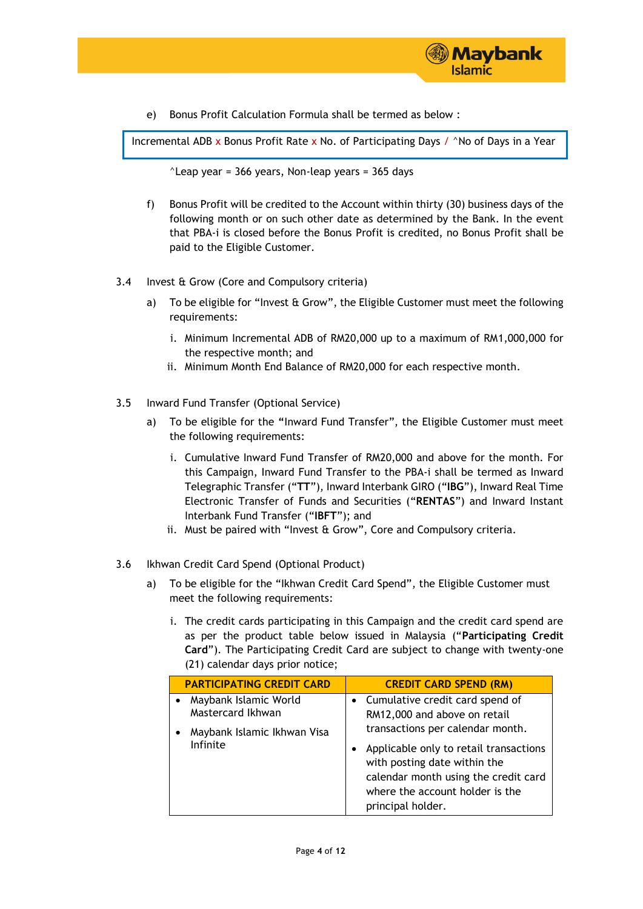

e) Bonus Profit Calculation Formula shall be termed as below :

Incremental ADB x Bonus Profit Rate x No. of Participating Days /  $\land$ No of Days in a Year

 $^{\circ}$ Leap year = 366 years, Non-leap years = 365 days

- f) Bonus Profit will be credited to the Account within thirty (30) business days of the following month or on such other date as determined by the Bank. In the event that PBA-i is closed before the Bonus Profit is credited, no Bonus Profit shall be paid to the Eligible Customer.
- 3.4 Invest & Grow (Core and Compulsory criteria)
	- a) To be eligible for "Invest  $\theta$  Grow", the Eligible Customer must meet the following requirements:
		- i. Minimum Incremental ADB of RM20,000 up to a maximum of RM1,000,000 for the respective month; and
		- ii. Minimum Month End Balance of RM20,000 for each respective month.
- 3.5 Inward Fund Transfer (Optional Service)
	- a) To be eligible for the **"**Inward Fund Transfer", the Eligible Customer must meet the following requirements:
		- i. Cumulative Inward Fund Transfer of RM20,000 and above for the month. For this Campaign, Inward Fund Transfer to the PBA-i shall be termed as Inward Telegraphic Transfer ("**TT**"), Inward Interbank GIRO ("**IBG**"), Inward Real Time Electronic Transfer of Funds and Securities ("**RENTAS**") and Inward Instant Interbank Fund Transfer ("**IBFT**"); and
		- ii. Must be paired with "Invest & Grow", Core and Compulsory criteria.
- 3.6 Ikhwan Credit Card Spend (Optional Product)
	- a) To be eligible for the "Ikhwan Credit Card Spend", the Eligible Customer must meet the following requirements:
		- i. The credit cards participating in this Campaign and the credit card spend are as per the product table below issued in Malaysia ("**Participating Credit Card**"). The Participating Credit Card are subject to change with twenty-one (21) calendar days prior notice;

| <b>PARTICIPATING CREDIT CARD</b>                                          | <b>CREDIT CARD SPEND (RM)</b>                                                                                                                                               |
|---------------------------------------------------------------------------|-----------------------------------------------------------------------------------------------------------------------------------------------------------------------------|
| Maybank Islamic World<br>Mastercard Ikhwan<br>Maybank Islamic Ikhwan Visa | • Cumulative credit card spend of<br>RM12,000 and above on retail<br>transactions per calendar month.                                                                       |
| Infinite                                                                  | Applicable only to retail transactions<br>٠<br>with posting date within the<br>calendar month using the credit card<br>where the account holder is the<br>principal holder. |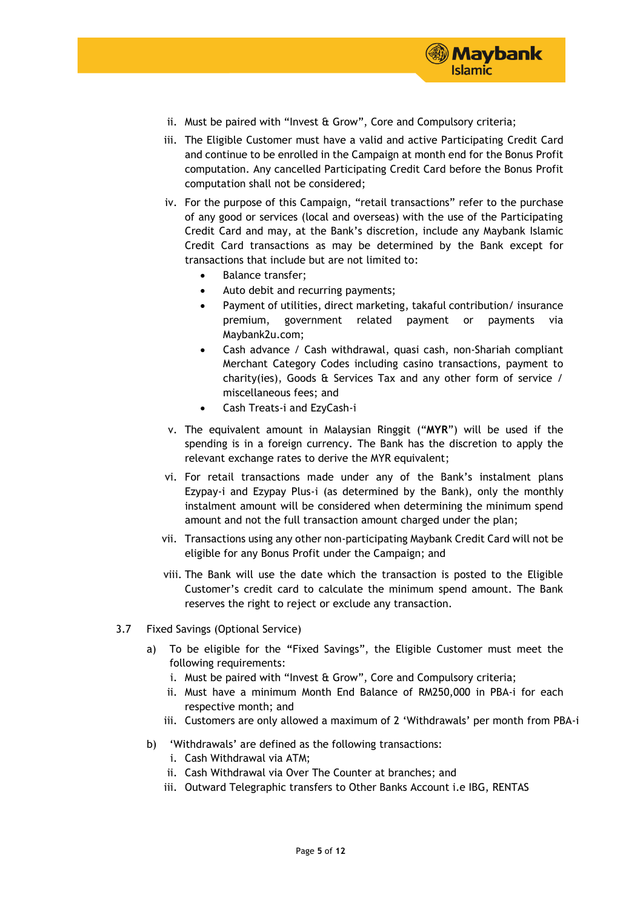

- ii. Must be paired with "Invest & Grow", Core and Compulsory criteria;
- iii. The Eligible Customer must have a valid and active Participating Credit Card and continue to be enrolled in the Campaign at month end for the Bonus Profit computation. Any cancelled Participating Credit Card before the Bonus Profit computation shall not be considered;
- iv. For the purpose of this Campaign, "retail transactions" refer to the purchase of any good or services (local and overseas) with the use of the Participating Credit Card and may, at the Bank's discretion, include any Maybank Islamic Credit Card transactions as may be determined by the Bank except for transactions that include but are not limited to:
	- Balance transfer;
	- Auto debit and recurring payments;
	- Payment of utilities, direct marketing, takaful contribution/ insurance premium, government related payment or payments via Maybank2u.com;
	- Cash advance / Cash withdrawal, quasi cash, non-Shariah compliant Merchant Category Codes including casino transactions, payment to charity(ies), Goods & Services Tax and any other form of service / miscellaneous fees; and
	- Cash Treats-i and EzyCash-i
- v. The equivalent amount in Malaysian Ringgit ("**MYR**") will be used if the spending is in a foreign currency. The Bank has the discretion to apply the relevant exchange rates to derive the MYR equivalent;
- vi. For retail transactions made under any of the Bank's instalment plans Ezypay-i and Ezypay Plus-i (as determined by the Bank), only the monthly instalment amount will be considered when determining the minimum spend amount and not the full transaction amount charged under the plan;
- vii. Transactions using any other non-participating Maybank Credit Card will not be eligible for any Bonus Profit under the Campaign; and
- viii. The Bank will use the date which the transaction is posted to the Eligible Customer's credit card to calculate the minimum spend amount. The Bank reserves the right to reject or exclude any transaction.
- 3.7 Fixed Savings (Optional Service)
	- a) To be eligible for the **"**Fixed Savings", the Eligible Customer must meet the following requirements:
		- i. Must be paired with "Invest & Grow", Core and Compulsory criteria;
		- ii. Must have a minimum Month End Balance of RM250,000 in PBA-i for each respective month; and
		- iii. Customers are only allowed a maximum of 2 'Withdrawals' per month from PBA-i
	- b) 'Withdrawals' are defined as the following transactions:
		- i. Cash Withdrawal via ATM;
		- ii. Cash Withdrawal via Over The Counter at branches; and
		- iii. Outward Telegraphic transfers to Other Banks Account i.e IBG, RENTAS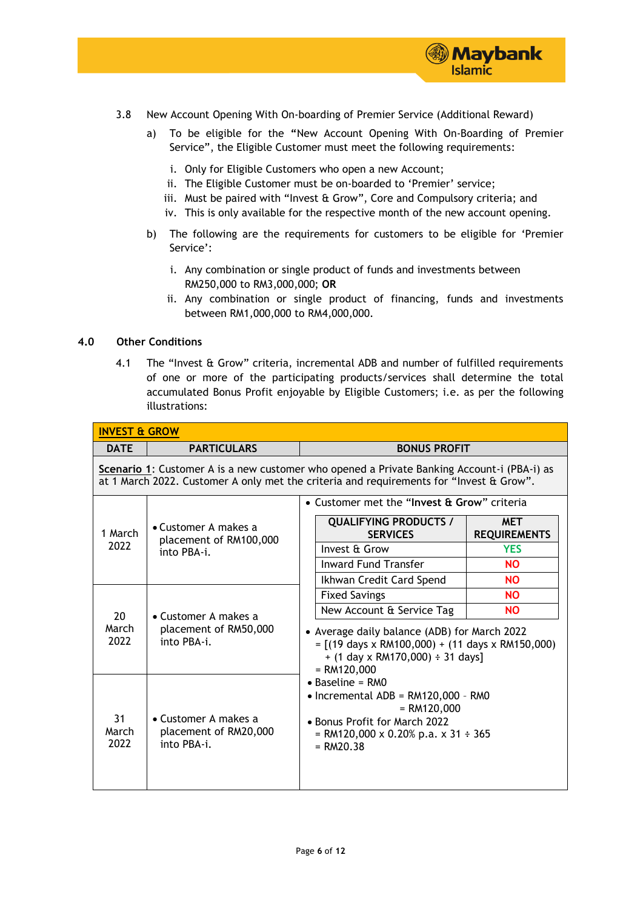

- 3.8 New Account Opening With On-boarding of Premier Service (Additional Reward)
	- a) To be eligible for the **"**New Account Opening With On-Boarding of Premier Service", the Eligible Customer must meet the following requirements:
		- i. Only for Eligible Customers who open a new Account;
		- ii. The Eligible Customer must be on-boarded to 'Premier' service;
		- iii. Must be paired with "Invest & Grow", Core and Compulsory criteria; and
		- iv. This is only available for the respective month of the new account opening.
	- b) The following are the requirements for customers to be eligible for 'Premier Service':
		- i. Any combination or single product of funds and investments between RM250,000 to RM3,000,000; **OR**
		- ii. Any combination or single product of financing, funds and investments between RM1,000,000 to RM4,000,000.

#### **4.0 Other Conditions**

4.1 The "Invest & Grow" criteria, incremental ADB and number of fulfilled requirements of one or more of the participating products/services shall determine the total accumulated Bonus Profit enjoyable by Eligible Customers; i.e. as per the following illustrations:

| <b>INVEST &amp; GROW</b> |                                                                                                                                                                                       |                                                                                                                                                                         |  |  |  |
|--------------------------|---------------------------------------------------------------------------------------------------------------------------------------------------------------------------------------|-------------------------------------------------------------------------------------------------------------------------------------------------------------------------|--|--|--|
| <b>DATE</b>              | <b>PARTICULARS</b><br><b>BONUS PROFIT</b>                                                                                                                                             |                                                                                                                                                                         |  |  |  |
|                          | Scenario 1: Customer A is a new customer who opened a Private Banking Account-i (PBA-i) as<br>at 1 March 2022. Customer A only met the criteria and requirements for "Invest & Grow". |                                                                                                                                                                         |  |  |  |
|                          |                                                                                                                                                                                       | • Customer met the "Invest & Grow" criteria                                                                                                                             |  |  |  |
| 1 March                  | $\bullet$ Customer A makes a<br>placement of RM100,000<br>into PBA-i.                                                                                                                 | <b>QUALIFYING PRODUCTS /</b><br><b>MET</b><br><b>SERVICES</b><br><b>REQUIREMENTS</b>                                                                                    |  |  |  |
| 2022                     |                                                                                                                                                                                       | Invest & Grow<br><b>YES</b>                                                                                                                                             |  |  |  |
|                          |                                                                                                                                                                                       | <b>Inward Fund Transfer</b><br><b>NO</b>                                                                                                                                |  |  |  |
|                          |                                                                                                                                                                                       | Ikhwan Credit Card Spend<br><b>NO</b>                                                                                                                                   |  |  |  |
|                          | $\bullet$ Customer A makes a<br>placement of RM50,000<br>into PBA-i.                                                                                                                  | <b>Fixed Savings</b><br><b>NO</b>                                                                                                                                       |  |  |  |
| 20                       |                                                                                                                                                                                       | New Account & Service Tag<br><b>NO</b>                                                                                                                                  |  |  |  |
| March<br>2022            |                                                                                                                                                                                       | • Average daily balance (ADB) for March 2022<br>$=$ [(19 days x RM100,000) + (11 days x RM150,000)<br>$+$ (1 day x RM170,000) $\div$ 31 days]<br>$= RM120,000$          |  |  |  |
| 31<br>March<br>2022      | $\bullet$ Customer A makes a<br>placement of RM20,000<br>into PBA-i.                                                                                                                  | $\bullet$ Baseline = RMO<br>• Incremental ADB = RM120,000 - RM0<br>$= RM120,000$<br>• Bonus Profit for March 2022<br>= RM120,000 x 0.20% p.a. x 31 ÷ 365<br>$= RM20.38$ |  |  |  |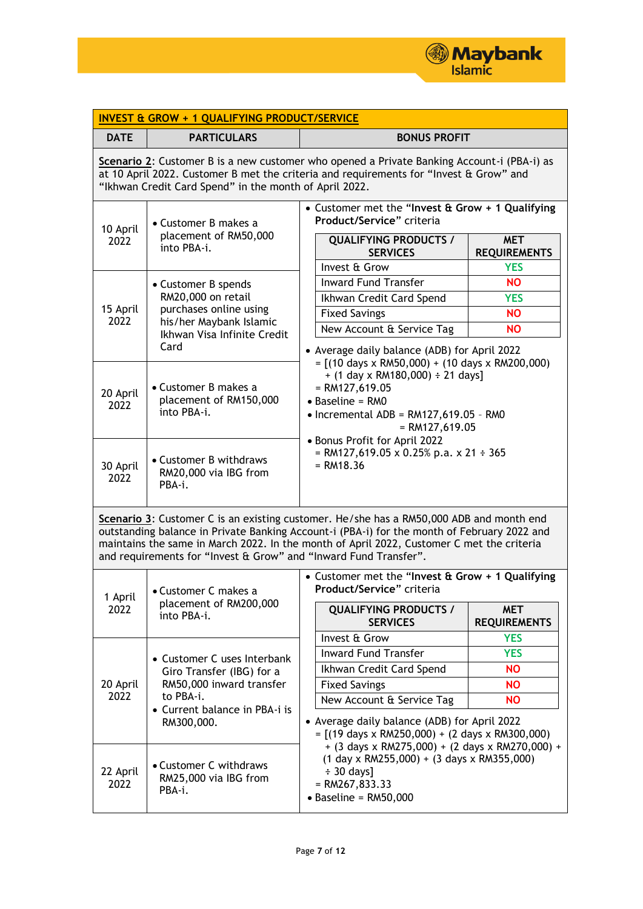

| <b>INVEST &amp; GROW + 1 QUALIFYING PRODUCT/SERVICE</b> |                                                                                                                                                                                                                                                                                                                                                         |                                                                                                                                                                                                                     |  |  |  |
|---------------------------------------------------------|---------------------------------------------------------------------------------------------------------------------------------------------------------------------------------------------------------------------------------------------------------------------------------------------------------------------------------------------------------|---------------------------------------------------------------------------------------------------------------------------------------------------------------------------------------------------------------------|--|--|--|
| <b>DATE</b>                                             | <b>PARTICULARS</b><br><b>BONUS PROFIT</b>                                                                                                                                                                                                                                                                                                               |                                                                                                                                                                                                                     |  |  |  |
|                                                         | Scenario 2: Customer B is a new customer who opened a Private Banking Account-i (PBA-i) as<br>at 10 April 2022. Customer B met the criteria and requirements for "Invest & Grow" and<br>"Ikhwan Credit Card Spend" in the month of April 2022.                                                                                                          |                                                                                                                                                                                                                     |  |  |  |
| 10 April<br>2022                                        | • Customer B makes a<br>placement of RM50,000<br>into PBA-i.                                                                                                                                                                                                                                                                                            | • Customer met the "Invest & Grow + 1 Qualifying<br>Product/Service" criteria<br><b>QUALIFYING PRODUCTS /</b><br><b>MET</b><br><b>SERVICES</b><br><b>REQUIREMENTS</b><br>Invest & Grow<br><b>YES</b>                |  |  |  |
| 15 April<br>2022                                        | • Customer B spends<br>RM20,000 on retail<br>purchases online using<br>his/her Maybank Islamic<br>Ikhwan Visa Infinite Credit<br>Card                                                                                                                                                                                                                   | <b>Inward Fund Transfer</b><br><b>NO</b><br>Ikhwan Credit Card Spend<br><b>YES</b><br><b>Fixed Savings</b><br><b>NO</b><br>New Account & Service Tag<br><b>NO</b><br>• Average daily balance (ADB) for April 2022   |  |  |  |
| 20 April<br>2022                                        | • Customer B makes a<br>placement of RM150,000<br>into PBA-i.                                                                                                                                                                                                                                                                                           | $=$ [(10 days x RM50,000) + (10 days x RM200,000)<br>$+$ (1 day x RM180,000) $\div$ 21 days]<br>$= R M127,619.05$<br>$\bullet$ Baseline = RM0<br>$\bullet$ Incremental ADB = RM127,619.05 - RM0<br>$= RM127,619.05$ |  |  |  |
| 30 April<br>2022                                        | • Customer B withdraws<br>RM20,000 via IBG from<br>PBA-i.                                                                                                                                                                                                                                                                                               | • Bonus Profit for April 2022<br>= RM127,619.05 x 0.25% p.a. x 21 ÷ 365<br>$= R M 18.36$                                                                                                                            |  |  |  |
|                                                         | Scenario 3: Customer C is an existing customer. He/she has a RM50,000 ADB and month end<br>outstanding balance in Private Banking Account-i (PBA-i) for the month of February 2022 and<br>maintains the same in March 2022. In the month of April 2022, Customer C met the criteria<br>and requirements for "Invest & Grow" and "Inward Fund Transfer". |                                                                                                                                                                                                                     |  |  |  |
| 1 April                                                 | • Customer C makes a                                                                                                                                                                                                                                                                                                                                    | • Customer met the "Invest & Grow + 1 Qualifying<br>Product/Service" criteria                                                                                                                                       |  |  |  |
| 2022                                                    | placement of RM200,000<br>into PBA-i.                                                                                                                                                                                                                                                                                                                   | <b>QUALIFYING PRODUCTS /</b><br><b>MET</b><br><b>SERVICES</b><br><b>REQUIREMENTS</b>                                                                                                                                |  |  |  |
|                                                         |                                                                                                                                                                                                                                                                                                                                                         | Invest & Grow<br><b>YES</b>                                                                                                                                                                                         |  |  |  |
|                                                         | • Customer C uses Interbank                                                                                                                                                                                                                                                                                                                             | <b>Inward Fund Transfer</b><br><b>YES</b>                                                                                                                                                                           |  |  |  |
|                                                         | Giro Transfer (IBG) for a                                                                                                                                                                                                                                                                                                                               | Ikhwan Credit Card Spend<br><b>NO</b>                                                                                                                                                                               |  |  |  |
| 20 April<br>2022                                        | RM50,000 inward transfer<br>to PBA-i.<br>• Current balance in PBA-i is<br>RM300,000.                                                                                                                                                                                                                                                                    | <b>Fixed Savings</b><br><b>NO</b>                                                                                                                                                                                   |  |  |  |
|                                                         |                                                                                                                                                                                                                                                                                                                                                         | New Account & Service Tag<br><b>NO</b><br>• Average daily balance (ADB) for April 2022<br>$=$ [(19 days x RM250,000) + (2 days x RM300,000)                                                                         |  |  |  |
| 22 April<br>2022                                        | • Customer C withdraws<br>RM25,000 via IBG from<br>PBA-i.                                                                                                                                                                                                                                                                                               | + (3 days x RM275,000) + (2 days x RM270,000) +<br>$(1$ day x RM255,000) + $(3$ days x RM355,000)<br>$\div$ 30 days]<br>$= RM267,833.33$<br>$\bullet$ Baseline = RM50,000                                           |  |  |  |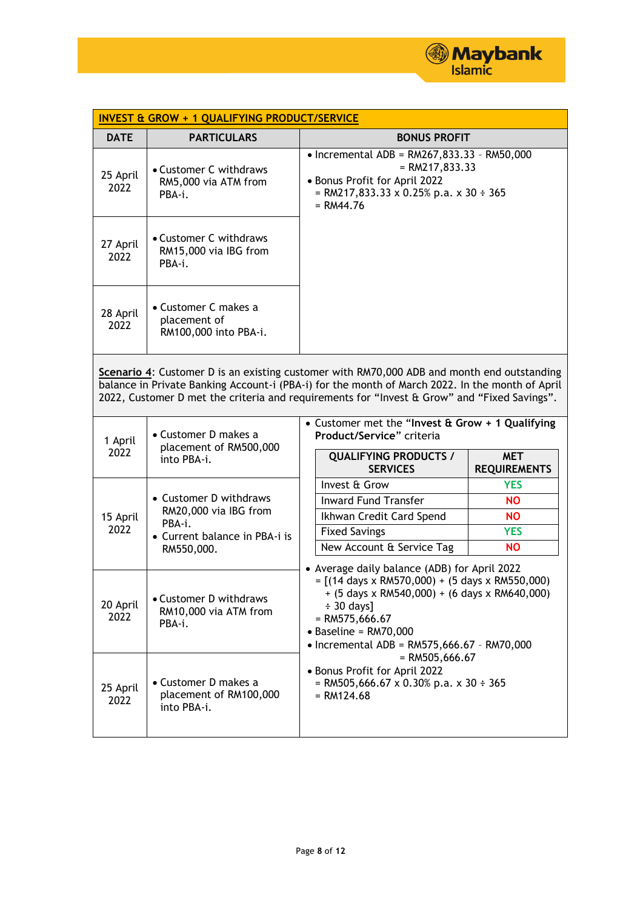

| <b>INVEST &amp; GROW + 1 QUALIFYING PRODUCT/SERVICE</b>                                                                                                                                                                                                                                      |                                                                                |                                                                                                                                                                                                                                                                                                                                                                                                                                       |                                   |  |
|----------------------------------------------------------------------------------------------------------------------------------------------------------------------------------------------------------------------------------------------------------------------------------------------|--------------------------------------------------------------------------------|---------------------------------------------------------------------------------------------------------------------------------------------------------------------------------------------------------------------------------------------------------------------------------------------------------------------------------------------------------------------------------------------------------------------------------------|-----------------------------------|--|
| <b>DATE</b>                                                                                                                                                                                                                                                                                  | <b>PARTICULARS</b>                                                             | <b>BONUS PROFIT</b>                                                                                                                                                                                                                                                                                                                                                                                                                   |                                   |  |
| 25 April<br>2022                                                                                                                                                                                                                                                                             | • Customer C withdraws<br>RM5,000 via ATM from<br>PBA-i.                       | • Incremental ADB = $RM267,833.33 - RM50,000$<br>$= RM217,833.33$<br>· Bonus Profit for April 2022<br>= RM217,833.33 x 0.25% p.a. x 30 ÷ 365<br>$= RM44.76$                                                                                                                                                                                                                                                                           |                                   |  |
| 27 April<br>2022                                                                                                                                                                                                                                                                             | • Customer C withdraws<br>RM15,000 via IBG from<br>PBA-i.                      |                                                                                                                                                                                                                                                                                                                                                                                                                                       |                                   |  |
| 28 April<br>2022                                                                                                                                                                                                                                                                             | • Customer C makes a<br>placement of<br>RM100,000 into PBA-i.                  |                                                                                                                                                                                                                                                                                                                                                                                                                                       |                                   |  |
| Scenario 4: Customer D is an existing customer with RM70,000 ADB and month end outstanding<br>balance in Private Banking Account-i (PBA-i) for the month of March 2022. In the month of April<br>2022, Customer D met the criteria and requirements for "Invest & Grow" and "Fixed Savings". |                                                                                |                                                                                                                                                                                                                                                                                                                                                                                                                                       |                                   |  |
| 1 April<br>2022                                                                                                                                                                                                                                                                              | • Customer D makes a<br>placement of RM500,000<br>into PBA-i.                  | • Customer met the "Invest & Grow + 1 Qualifying<br>Product/Service" criteria                                                                                                                                                                                                                                                                                                                                                         |                                   |  |
|                                                                                                                                                                                                                                                                                              |                                                                                | <b>QUALIFYING PRODUCTS /</b><br><b>SERVICES</b>                                                                                                                                                                                                                                                                                                                                                                                       | <b>MET</b><br><b>REQUIREMENTS</b> |  |
|                                                                                                                                                                                                                                                                                              |                                                                                | Invest & Grow                                                                                                                                                                                                                                                                                                                                                                                                                         | <b>YES</b>                        |  |
|                                                                                                                                                                                                                                                                                              | • Customer D withdraws                                                         | <b>Inward Fund Transfer</b>                                                                                                                                                                                                                                                                                                                                                                                                           | <b>NO</b>                         |  |
| 15 April                                                                                                                                                                                                                                                                                     | RM20,000 via IBG from<br>PBA-i.<br>• Current balance in PBA-i is<br>RM550,000. | Ikhwan Credit Card Spend                                                                                                                                                                                                                                                                                                                                                                                                              | <b>NO</b>                         |  |
| 2022                                                                                                                                                                                                                                                                                         |                                                                                | <b>Fixed Savings</b>                                                                                                                                                                                                                                                                                                                                                                                                                  | <b>YES</b>                        |  |
|                                                                                                                                                                                                                                                                                              |                                                                                | New Account & Service Tag                                                                                                                                                                                                                                                                                                                                                                                                             | <b>NO</b>                         |  |
| 20 April<br>2022                                                                                                                                                                                                                                                                             | • Customer D withdraws<br>RM10,000 via ATM from<br>PBA-i.                      | • Average daily balance (ADB) for April 2022<br>$= [(14 \text{ days} \times \text{RM570,000}) + (5 \text{ days} \times \text{RM550,000})]$<br>$+$ (5 days x RM540,000) + (6 days x RM640,000)<br>$\div$ 30 days]<br>$=$ RM575,666.67<br>$\bullet$ Baseline = RM70,000<br>• Incremental ADB = $RM575,666.67 - RM70,000$<br>$=$ RM505,666.67<br>• Bonus Profit for April 2022<br>= RM505,666.67 x 0.30% p.a. x 30 ÷ 365<br>$= RM124.68$ |                                   |  |
| 25 April<br>2022                                                                                                                                                                                                                                                                             | • Customer D makes a<br>placement of RM100,000<br>into PBA-i.                  |                                                                                                                                                                                                                                                                                                                                                                                                                                       |                                   |  |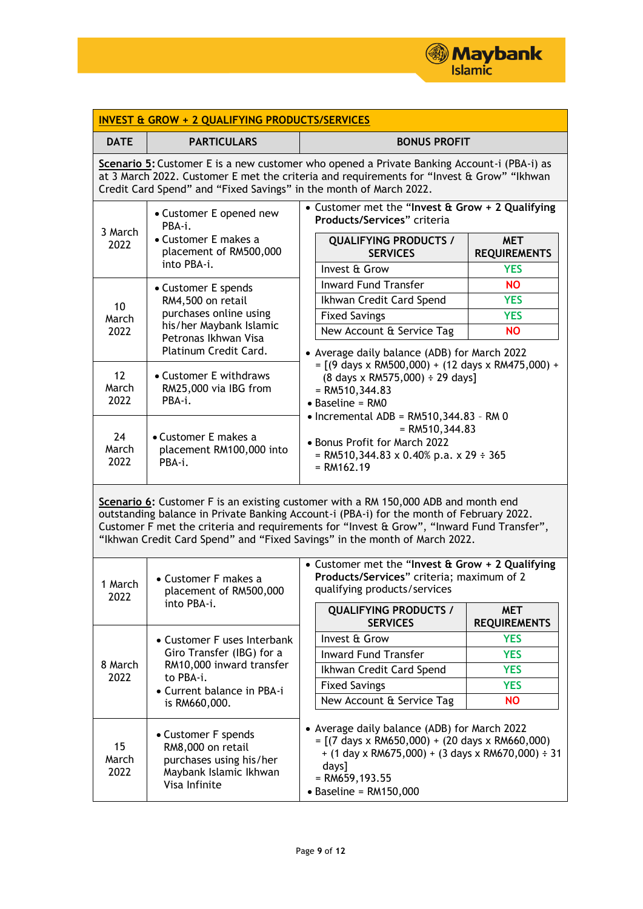

| <b>INVEST &amp; GROW + 2 QUALIFYING PRODUCTS/SERVICES</b>                                                                                                                                                                                                                                                                                                 |                                                                                                                                                                                                                           |                                                                                                                                                                                                                                                                                                                                                                                                                                   |                                                                  |  |
|-----------------------------------------------------------------------------------------------------------------------------------------------------------------------------------------------------------------------------------------------------------------------------------------------------------------------------------------------------------|---------------------------------------------------------------------------------------------------------------------------------------------------------------------------------------------------------------------------|-----------------------------------------------------------------------------------------------------------------------------------------------------------------------------------------------------------------------------------------------------------------------------------------------------------------------------------------------------------------------------------------------------------------------------------|------------------------------------------------------------------|--|
| <b>DATE</b>                                                                                                                                                                                                                                                                                                                                               | <b>PARTICULARS</b>                                                                                                                                                                                                        | <b>BONUS PROFIT</b>                                                                                                                                                                                                                                                                                                                                                                                                               |                                                                  |  |
| Scenario 5: Customer E is a new customer who opened a Private Banking Account-i (PBA-i) as<br>at 3 March 2022. Customer E met the criteria and requirements for "Invest & Grow" "Ikhwan<br>Credit Card Spend" and "Fixed Savings" in the month of March 2022.                                                                                             |                                                                                                                                                                                                                           |                                                                                                                                                                                                                                                                                                                                                                                                                                   |                                                                  |  |
| 3 March<br>2022                                                                                                                                                                                                                                                                                                                                           | • Customer met the "Invest & Grow + 2 Qualifying<br>• Customer E opened new<br>Products/Services" criteria<br>PBA-i.<br>• Customer E makes a<br><b>QUALIFYING PRODUCTS /</b><br>placement of RM500,000<br><b>SERVICES</b> |                                                                                                                                                                                                                                                                                                                                                                                                                                   | <b>MET</b><br><b>REQUIREMENTS</b>                                |  |
| 10<br>March<br>2022                                                                                                                                                                                                                                                                                                                                       | into PBA-i.<br>• Customer E spends<br>RM4,500 on retail<br>purchases online using<br>his/her Maybank Islamic<br>Petronas Ikhwan Visa<br>Platinum Credit Card.                                                             | Invest & Grow<br><b>Inward Fund Transfer</b><br>Ikhwan Credit Card Spend<br><b>Fixed Savings</b><br>New Account & Service Tag                                                                                                                                                                                                                                                                                                     | <b>YES</b><br><b>NO</b><br><b>YES</b><br><b>YES</b><br><b>NO</b> |  |
| 12<br>March<br>2022                                                                                                                                                                                                                                                                                                                                       | • Customer E withdraws<br>RM25,000 via IBG from<br>PBA-i.                                                                                                                                                                 | • Average daily balance (ADB) for March 2022<br>$= [(9 \text{ days} \times \text{RM500},000) + (12 \text{ days} \times \text{RM475},000) +$<br>$(8 \text{ days} \times \text{RM575,000}) \div 29 \text{ days}$<br>$=$ RM510,344.83<br>$\bullet$ Baseline = RM0<br>$\bullet$ Incremental ADB = RM510,344.83 - RM 0<br>$= RMS10, 344.83$<br>• Bonus Profit for March 2022<br>= RM510,344.83 x 0.40% p.a. x 29 ÷ 365<br>$= RM162.19$ |                                                                  |  |
| 24<br>March<br>2022                                                                                                                                                                                                                                                                                                                                       | • Customer E makes a<br>placement RM100,000 into<br>PBA-i.                                                                                                                                                                |                                                                                                                                                                                                                                                                                                                                                                                                                                   |                                                                  |  |
| Scenario 6: Customer F is an existing customer with a RM 150,000 ADB and month end<br>outstanding balance in Private Banking Account-i (PBA-i) for the month of February 2022.<br>Customer F met the criteria and requirements for "Invest & Grow", "Inward Fund Transfer",<br>"Ikhwan Credit Card Spend" and "Fixed Savings" in the month of March 2022. |                                                                                                                                                                                                                           |                                                                                                                                                                                                                                                                                                                                                                                                                                   |                                                                  |  |
| 1 March<br>2022                                                                                                                                                                                                                                                                                                                                           | • Customer met the "Invest & Grow + 2 Qualifying<br>Products/Services" criteria; maximum of 2<br>• Customer F makes a<br>qualifying products/services<br>placement of RM500,000                                           |                                                                                                                                                                                                                                                                                                                                                                                                                                   |                                                                  |  |
|                                                                                                                                                                                                                                                                                                                                                           | into PBA-i.                                                                                                                                                                                                               | <b>QUALIFYING PRODUCTS /</b><br><b>SERVICES</b>                                                                                                                                                                                                                                                                                                                                                                                   | <b>MET</b><br><b>REQUIREMENTS</b>                                |  |
|                                                                                                                                                                                                                                                                                                                                                           | • Customer F uses Interbank                                                                                                                                                                                               | Invest & Grow                                                                                                                                                                                                                                                                                                                                                                                                                     | <b>YES</b>                                                       |  |
|                                                                                                                                                                                                                                                                                                                                                           | Giro Transfer (IBG) for a                                                                                                                                                                                                 | <b>Inward Fund Transfer</b>                                                                                                                                                                                                                                                                                                                                                                                                       | <b>YES</b>                                                       |  |
| 8 March<br>2022                                                                                                                                                                                                                                                                                                                                           | RM10,000 inward transfer<br>to PBA-i.                                                                                                                                                                                     | Ikhwan Credit Card Spend                                                                                                                                                                                                                                                                                                                                                                                                          | <b>YES</b>                                                       |  |
|                                                                                                                                                                                                                                                                                                                                                           | • Current balance in PBA-i<br>is RM660,000.                                                                                                                                                                               | <b>Fixed Savings</b>                                                                                                                                                                                                                                                                                                                                                                                                              | <b>YES</b>                                                       |  |
|                                                                                                                                                                                                                                                                                                                                                           |                                                                                                                                                                                                                           | New Account & Service Tag                                                                                                                                                                                                                                                                                                                                                                                                         | <b>NO</b>                                                        |  |
| 15<br>March<br>2022                                                                                                                                                                                                                                                                                                                                       | • Customer F spends<br>RM8,000 on retail<br>purchases using his/her<br>Maybank Islamic Ikhwan<br>Visa Infinite                                                                                                            | • Average daily balance (ADB) for March 2022<br>$=$ [(7 days x RM650,000) + (20 days x RM660,000)<br>$+$ (1 day x RM675,000) + (3 days x RM670,000) $\div$ 31<br>days]<br>$=$ RM659,193.55<br>$\bullet$ Baseline = RM150,000                                                                                                                                                                                                      |                                                                  |  |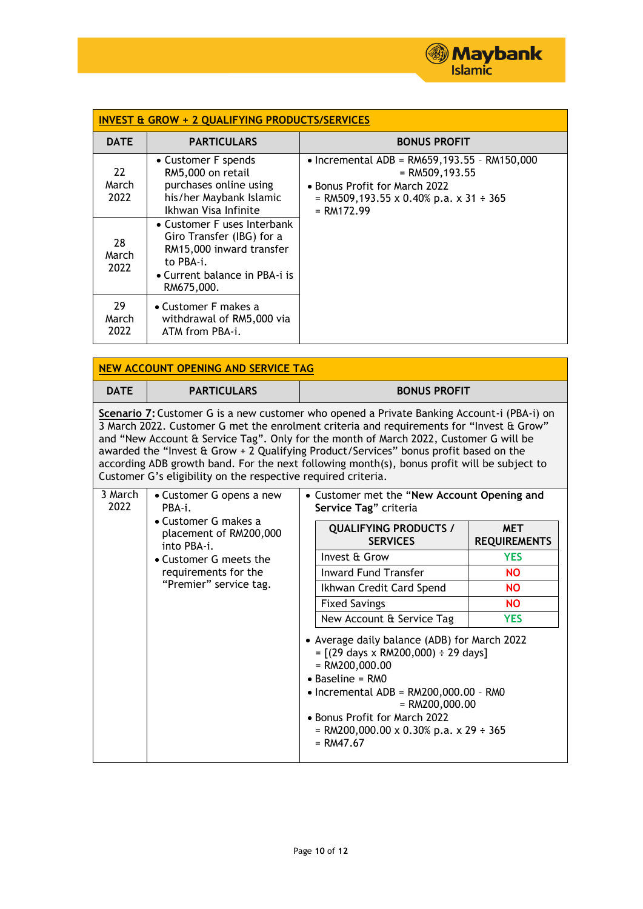

| <b>INVEST &amp; GROW + 2 QUALIFYING PRODUCTS/SERVICES</b> |                                                                                                                                                  |                                                                                                                                                                  |  |  |  |
|-----------------------------------------------------------|--------------------------------------------------------------------------------------------------------------------------------------------------|------------------------------------------------------------------------------------------------------------------------------------------------------------------|--|--|--|
| <b>DATE</b>                                               | <b>PARTICULARS</b>                                                                                                                               | <b>BONUS PROFIT</b>                                                                                                                                              |  |  |  |
| 22<br>March<br>2022                                       | • Customer F spends<br>RM5,000 on retail<br>purchases online using<br>his/her Maybank Islamic<br>Ikhwan Visa Infinite                            | • Incremental ADB = $RM659,193.55$ - $RM150,000$<br>$=$ RM509, 193.55<br>• Bonus Profit for March 2022<br>= RM509,193.55 x 0.40% p.a. x 31 ÷ 365<br>$= RM172.99$ |  |  |  |
| 28<br>March<br>2022                                       | • Customer F uses Interbank<br>Giro Transfer (IBG) for a<br>RM15,000 inward transfer<br>to PBA-i.<br>• Current balance in PBA-i is<br>RM675,000. |                                                                                                                                                                  |  |  |  |
| 29<br>March<br>2022                                       | • Customer F makes a<br>withdrawal of RM5,000 via<br>ATM from PBA-i.                                                                             |                                                                                                                                                                  |  |  |  |

| <b>NEW ACCOUNT OPENING AND SERVICE TAG</b>                                                                                                                                                                                                                                                                                                                                                                                                                                                                                               |                                                                                                                                                                                 |                                                                                                                                                                                                                                                                                                                                      |                                                                      |                                   |  |  |
|------------------------------------------------------------------------------------------------------------------------------------------------------------------------------------------------------------------------------------------------------------------------------------------------------------------------------------------------------------------------------------------------------------------------------------------------------------------------------------------------------------------------------------------|---------------------------------------------------------------------------------------------------------------------------------------------------------------------------------|--------------------------------------------------------------------------------------------------------------------------------------------------------------------------------------------------------------------------------------------------------------------------------------------------------------------------------------|----------------------------------------------------------------------|-----------------------------------|--|--|
| <b>DATE</b>                                                                                                                                                                                                                                                                                                                                                                                                                                                                                                                              | <b>PARTICULARS</b>                                                                                                                                                              |                                                                                                                                                                                                                                                                                                                                      | <b>BONUS PROFIT</b>                                                  |                                   |  |  |
| Scenario 7: Customer G is a new customer who opened a Private Banking Account-i (PBA-i) on<br>3 March 2022. Customer G met the enrolment criteria and requirements for "Invest & Grow"<br>and "New Account & Service Tag". Only for the month of March 2022, Customer G will be<br>awarded the "Invest & Grow + 2 Qualifying Product/Services" bonus profit based on the<br>according ADB growth band. For the next following month(s), bonus profit will be subject to<br>Customer G's eligibility on the respective required criteria. |                                                                                                                                                                                 |                                                                                                                                                                                                                                                                                                                                      |                                                                      |                                   |  |  |
| 3 March<br>2022                                                                                                                                                                                                                                                                                                                                                                                                                                                                                                                          | • Customer G opens a new<br>PBA-i.<br>• Customer G makes a<br>placement of RM200,000<br>into PBA-i.<br>• Customer G meets the<br>requirements for the<br>"Premier" service tag. |                                                                                                                                                                                                                                                                                                                                      | • Customer met the "New Account Opening and<br>Service Tag" criteria |                                   |  |  |
|                                                                                                                                                                                                                                                                                                                                                                                                                                                                                                                                          |                                                                                                                                                                                 |                                                                                                                                                                                                                                                                                                                                      | <b>QUALIFYING PRODUCTS /</b><br><b>SERVICES</b>                      | <b>MET</b><br><b>REQUIREMENTS</b> |  |  |
|                                                                                                                                                                                                                                                                                                                                                                                                                                                                                                                                          |                                                                                                                                                                                 |                                                                                                                                                                                                                                                                                                                                      | Invest & Grow                                                        | <b>YES</b>                        |  |  |
|                                                                                                                                                                                                                                                                                                                                                                                                                                                                                                                                          |                                                                                                                                                                                 |                                                                                                                                                                                                                                                                                                                                      | <b>Inward Fund Transfer</b>                                          | <b>NO</b>                         |  |  |
|                                                                                                                                                                                                                                                                                                                                                                                                                                                                                                                                          |                                                                                                                                                                                 |                                                                                                                                                                                                                                                                                                                                      | Ikhwan Credit Card Spend                                             | <b>NO</b>                         |  |  |
|                                                                                                                                                                                                                                                                                                                                                                                                                                                                                                                                          |                                                                                                                                                                                 |                                                                                                                                                                                                                                                                                                                                      | <b>Fixed Savings</b>                                                 | <b>NO</b>                         |  |  |
|                                                                                                                                                                                                                                                                                                                                                                                                                                                                                                                                          |                                                                                                                                                                                 |                                                                                                                                                                                                                                                                                                                                      | New Account & Service Tag                                            | <b>YES</b>                        |  |  |
|                                                                                                                                                                                                                                                                                                                                                                                                                                                                                                                                          |                                                                                                                                                                                 | • Average daily balance (ADB) for March 2022<br>$= [(29 \text{ days} \times \text{RM200,000}) \div 29 \text{ days}]$<br>$= RM200,000.00$<br>$\bullet$ Baseline = RMO<br>$\bullet$ Incremental ADB = RM200,000.00 - RM0<br>$= RM200,000.00$<br>• Bonus Profit for March 2022<br>= RM200,000.00 x 0.30% p.a. x 29 ÷ 365<br>$= RM47.67$ |                                                                      |                                   |  |  |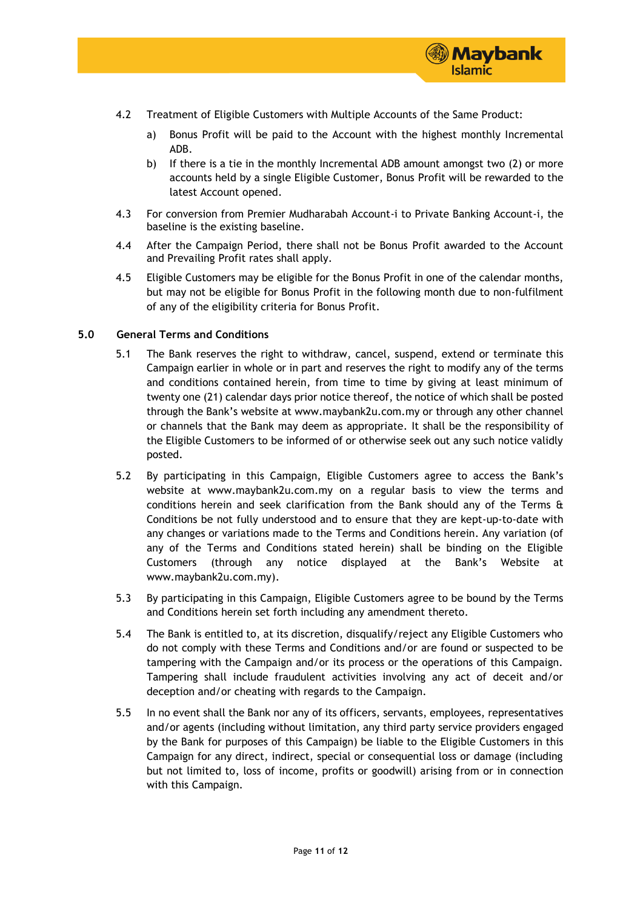

- 4.2 Treatment of Eligible Customers with Multiple Accounts of the Same Product:
	- a) Bonus Profit will be paid to the Account with the highest monthly Incremental ADB.
	- b) If there is a tie in the monthly Incremental ADB amount amongst two (2) or more accounts held by a single Eligible Customer, Bonus Profit will be rewarded to the latest Account opened.
- 4.3 For conversion from Premier Mudharabah Account-i to Private Banking Account-i, the baseline is the existing baseline.
- 4.4 After the Campaign Period, there shall not be Bonus Profit awarded to the Account and Prevailing Profit rates shall apply.
- 4.5 Eligible Customers may be eligible for the Bonus Profit in one of the calendar months, but may not be eligible for Bonus Profit in the following month due to non-fulfilment of any of the eligibility criteria for Bonus Profit.

### **5.0 General Terms and Conditions**

- 5.1 The Bank reserves the right to withdraw, cancel, suspend, extend or terminate this Campaign earlier in whole or in part and reserves the right to modify any of the terms and conditions contained herein, from time to time by giving at least minimum of twenty one (21) calendar days prior notice thereof, the notice of which shall be posted through the Bank's website at www.maybank2u.com.my or through any other channel or channels that the Bank may deem as appropriate. It shall be the responsibility of the Eligible Customers to be informed of or otherwise seek out any such notice validly posted.
- 5.2 By participating in this Campaign, Eligible Customers agree to access the Bank's website at www.maybank2u.com.my on a regular basis to view the terms and conditions herein and seek clarification from the Bank should any of the Terms & Conditions be not fully understood and to ensure that they are kept-up-to-date with any changes or variations made to the Terms and Conditions herein. Any variation (of any of the Terms and Conditions stated herein) shall be binding on the Eligible Customers (through any notice displayed at the Bank's Website at www.maybank2u.com.my).
- 5.3 By participating in this Campaign, Eligible Customers agree to be bound by the Terms and Conditions herein set forth including any amendment thereto.
- 5.4 The Bank is entitled to, at its discretion, disqualify/reject any Eligible Customers who do not comply with these Terms and Conditions and/or are found or suspected to be tampering with the Campaign and/or its process or the operations of this Campaign. Tampering shall include fraudulent activities involving any act of deceit and/or deception and/or cheating with regards to the Campaign.
- 5.5 In no event shall the Bank nor any of its officers, servants, employees, representatives and/or agents (including without limitation, any third party service providers engaged by the Bank for purposes of this Campaign) be liable to the Eligible Customers in this Campaign for any direct, indirect, special or consequential loss or damage (including but not limited to, loss of income, profits or goodwill) arising from or in connection with this Campaign.